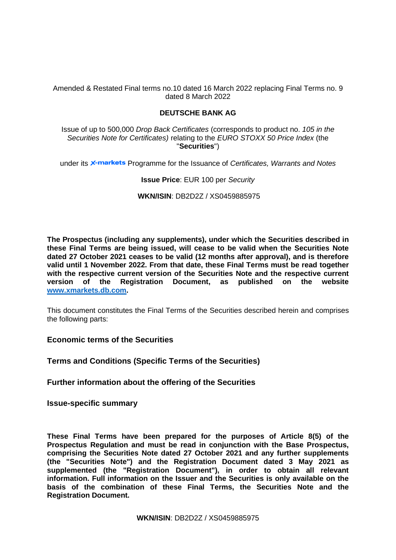Amended & Restated Final terms no.10 dated 16 March 2022 replacing Final Terms no. 9 dated 8 March 2022

# **DEUTSCHE BANK AG**

Issue of up to 500,000 *Drop Back Certificates* (corresponds to product no. *105 in the Securities Note for Certificates)* relating to the *EURO STOXX 50 Price Index* (the "**Securities**")

under its **x-markets** Programme for the Issuance of *Certificates, Warrants and Notes* 

# **Issue Price**: EUR 100 per *Security*

**WKN/ISIN**: DB2D2Z / XS0459885975

**The Prospectus (including any supplements), under which the Securities described in these Final Terms are being issued, will cease to be valid when the Securities Note dated 27 October 2021 ceases to be valid (12 months after approval), and is therefore valid until 1 November 2022. From that date, these Final Terms must be read together with the respective current version of the Securities Note and the respective current version of the Registration Document, as published on the website [www.xmarkets.db.com.](http://www.xmarkets.db.com/)**

This document constitutes the Final Terms of the Securities described herein and comprises the following parts:

**Economic terms of the Securities**

**Terms and Conditions (Specific Terms of the Securities)**

**Further information about the offering of the Securities**

**Issue-specific summary**

**These Final Terms have been prepared for the purposes of Article 8(5) of the Prospectus Regulation and must be read in conjunction with the Base Prospectus, comprising the Securities Note dated 27 October 2021 and any further supplements (the "Securities Note") and the Registration Document dated 3 May 2021 as supplemented (the "Registration Document"), in order to obtain all relevant information. Full information on the Issuer and the Securities is only available on the basis of the combination of these Final Terms, the Securities Note and the Registration Document.**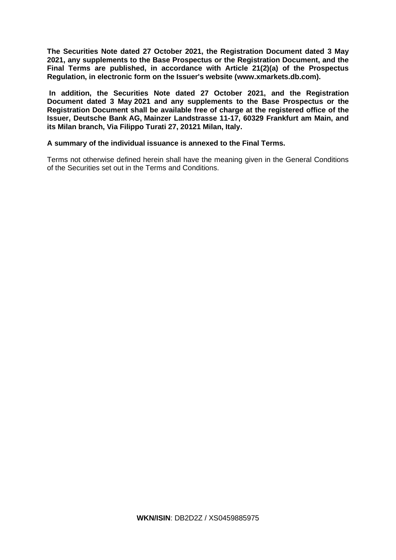**The Securities Note dated 27 October 2021, the Registration Document dated 3 May 2021, any supplements to the Base Prospectus or the Registration Document, and the Final Terms are published, in accordance with Article 21(2)(a) of the Prospectus Regulation, in electronic form on the Issuer's website [\(www.xmarkets.db.com\)](http://www.xmarkets.db.com/).**

**In addition, the Securities Note dated 27 October 2021, and the Registration Document dated 3 May 2021 and any supplements to the Base Prospectus or the Registration Document shall be available free of charge at the registered office of the Issuer, Deutsche Bank AG, Mainzer Landstrasse 11-17, 60329 Frankfurt am Main, and its Milan branch, Via Filippo Turati 27, 20121 Milan, Italy.**

# **A summary of the individual issuance is annexed to the Final Terms.**

Terms not otherwise defined herein shall have the meaning given in the General Conditions of the Securities set out in the Terms and Conditions.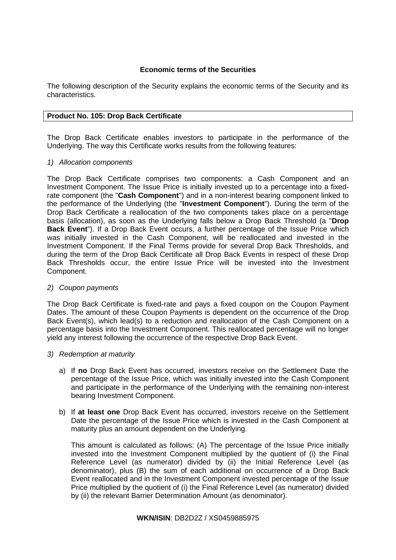# **Economic terms of the Securities**

The following description of the Security explains the economic terms of the Security and its characteristics.

# **Product No. 105: Drop Back Certificate**

The Drop Back Certificate enables investors to participate in the performance of the Underlying. The way this Certificate works results from the following features:

# *1) Allocation components*

The Drop Back Certificate comprises two components: a Cash Component and an Investment Component. The Issue Price is initially invested up to a percentage into a fixedrate component (the "**Cash Component**") and in a non-interest bearing component linked to the performance of the Underlying (the "**Investment Component**"). During the term of the Drop Back Certificate a reallocation of the two components takes place on a percentage basis (allocation), as soon as the Underlying falls below a Drop Back Threshold (a "**Drop Back Event**"). If a Drop Back Event occurs, a further percentage of the Issue Price which was initially invested in the Cash Component, will be reallocated and invested in the Investment Component. If the Final Terms provide for several Drop Back Thresholds, and during the term of the Drop Back Certificate all Drop Back Events in respect of these Drop Back Thresholds occur, the entire Issue Price will be invested into the Investment Component.

# *2) Coupon payments*

The Drop Back Certificate is fixed-rate and pays a fixed coupon on the Coupon Payment Dates. The amount of these Coupon Payments is dependent on the occurrence of the Drop Back Event(s), which lead(s) to a reduction and reallocation of the Cash Component on a percentage basis into the Investment Component. This reallocated percentage will no longer yield any interest following the occurrence of the respective Drop Back Event.

# *3) Redemption at maturity*

- a) If **no** Drop Back Event has occurred, investors receive on the Settlement Date the percentage of the Issue Price, which was initially invested into the Cash Component and participate in the performance of the Underlying with the remaining non-interest bearing Investment Component.
- b) If **at least one** Drop Back Event has occurred, investors receive on the Settlement Date the percentage of the Issue Price which is invested in the Cash Component at maturity plus an amount dependent on the Underlying.

This amount is calculated as follows: (A) The percentage of the Issue Price initially invested into the Investment Component multiplied by the quotient of (i) the Final Reference Level (as numerator) divided by (ii) the Initial Reference Level (as denominator), plus (B) the sum of each additional on occurrence of a Drop Back Event reallocated and in the Investment Component invested percentage of the Issue Price multiplied by the quotient of (i) the Final Reference Level (as numerator) divided by (ii) the relevant Barrier Determination Amount (as denominator).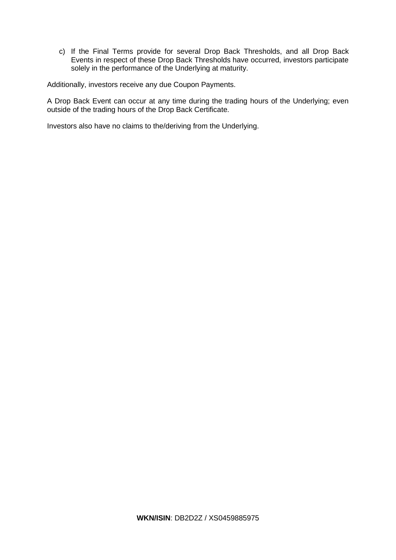c) If the Final Terms provide for several Drop Back Thresholds, and all Drop Back Events in respect of these Drop Back Thresholds have occurred, investors participate solely in the performance of the Underlying at maturity.

Additionally, investors receive any due Coupon Payments.

A Drop Back Event can occur at any time during the trading hours of the Underlying; even outside of the trading hours of the Drop Back Certificate.

Investors also have no claims to the/deriving from the Underlying.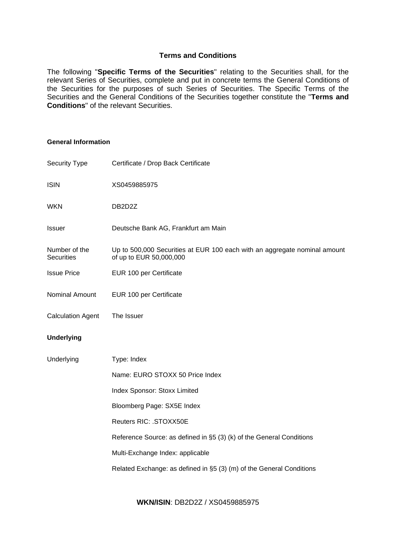# **Terms and Conditions**

The following "**Specific Terms of the Securities**" relating to the Securities shall, for the relevant Series of Securities, complete and put in concrete terms the General Conditions of the Securities for the purposes of such Series of Securities. The Specific Terms of the Securities and the General Conditions of the Securities together constitute the "**Terms and Conditions**" of the relevant Securities.

### **General Information**

| Security Type                      | Certificate / Drop Back Certificate                                                                  |  |
|------------------------------------|------------------------------------------------------------------------------------------------------|--|
| <b>ISIN</b>                        | XS0459885975                                                                                         |  |
| <b>WKN</b>                         | DB2D2Z                                                                                               |  |
| Issuer                             | Deutsche Bank AG, Frankfurt am Main                                                                  |  |
| Number of the<br><b>Securities</b> | Up to 500,000 Securities at EUR 100 each with an aggregate nominal amount<br>of up to EUR 50,000,000 |  |
| <b>Issue Price</b>                 | EUR 100 per Certificate                                                                              |  |
| Nominal Amount                     | EUR 100 per Certificate                                                                              |  |
| <b>Calculation Agent</b>           | The Issuer                                                                                           |  |
| <b>Underlying</b>                  |                                                                                                      |  |
| Underlying                         | Type: Index                                                                                          |  |
|                                    | Name: EURO STOXX 50 Price Index                                                                      |  |
|                                    | Index Sponsor: Stoxx Limited                                                                         |  |
|                                    | Bloomberg Page: SX5E Index                                                                           |  |
|                                    | Reuters RIC: . STOXX50E                                                                              |  |
|                                    | Reference Source: as defined in §5 (3) (k) of the General Conditions                                 |  |
|                                    | Multi-Exchange Index: applicable                                                                     |  |
|                                    | Related Exchange: as defined in §5 (3) (m) of the General Conditions                                 |  |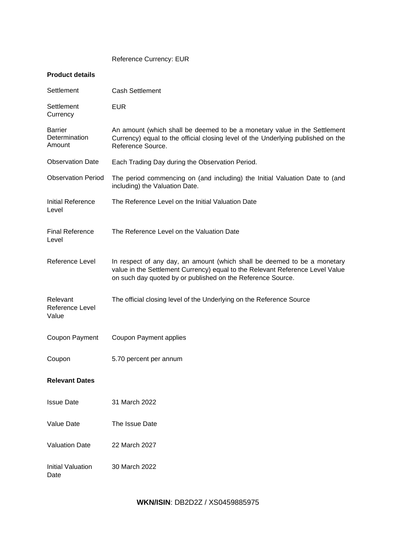Reference Currency: EUR

# **Product details**

| Settlement                                | <b>Cash Settlement</b>                                                                                                                                                                                                   |
|-------------------------------------------|--------------------------------------------------------------------------------------------------------------------------------------------------------------------------------------------------------------------------|
| Settlement<br>Currency                    | <b>EUR</b>                                                                                                                                                                                                               |
| <b>Barrier</b><br>Determination<br>Amount | An amount (which shall be deemed to be a monetary value in the Settlement<br>Currency) equal to the official closing level of the Underlying published on the<br>Reference Source.                                       |
| <b>Observation Date</b>                   | Each Trading Day during the Observation Period.                                                                                                                                                                          |
| <b>Observation Period</b>                 | The period commencing on (and including) the Initial Valuation Date to (and<br>including) the Valuation Date.                                                                                                            |
| Initial Reference<br>Level                | The Reference Level on the Initial Valuation Date                                                                                                                                                                        |
| <b>Final Reference</b><br>Level           | The Reference Level on the Valuation Date                                                                                                                                                                                |
| Reference Level                           | In respect of any day, an amount (which shall be deemed to be a monetary<br>value in the Settlement Currency) equal to the Relevant Reference Level Value<br>on such day quoted by or published on the Reference Source. |
| Relevant<br>Reference Level<br>Value      | The official closing level of the Underlying on the Reference Source                                                                                                                                                     |
| Coupon Payment                            | <b>Coupon Payment applies</b>                                                                                                                                                                                            |
| Coupon                                    | 5.70 percent per annum                                                                                                                                                                                                   |
| <b>Relevant Dates</b>                     |                                                                                                                                                                                                                          |
| <b>Issue Date</b>                         | 31 March 2022                                                                                                                                                                                                            |
| Value Date                                | The Issue Date                                                                                                                                                                                                           |
| <b>Valuation Date</b>                     | 22 March 2027                                                                                                                                                                                                            |
| <b>Initial Valuation</b><br>Date          | 30 March 2022                                                                                                                                                                                                            |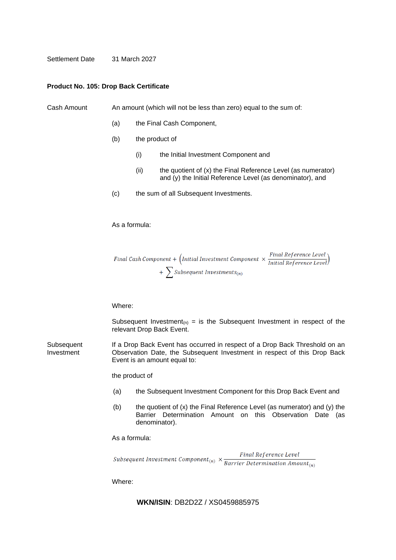Settlement Date 31 March 2027

### **Product No. 105: Drop Back Certificate**

Cash Amount An amount (which will not be less than zero) equal to the sum of:

- (a) the Final Cash Component,
- (b) the product of
	- (i) the Initial Investment Component and
	- $(ii)$  the quotient of  $(x)$  the Final Reference Level (as numerator) and (y) the Initial Reference Level (as denominator), and
- (c) the sum of all Subsequent Investments.

### As a formula:

Final Cash Component +  $\left(\text{Initial Investment Component} \times \frac{\text{Final Reference Level}}{\text{Initial Reference Level}}\right)$  $+ \sum$ Subsequent Investments<sub>(n)</sub>

Where:

Subsequent Investment<sub>(n)</sub> = is the Subsequent Investment in respect of the relevant Drop Back Event.

**Subsequent** Investment If a Drop Back Event has occurred in respect of a Drop Back Threshold on an Observation Date, the Subsequent Investment in respect of this Drop Back Event is an amount equal to:

the product of

- (a) the Subsequent Investment Component for this Drop Back Event and
- (b) the quotient of (x) the Final Reference Level (as numerator) and (y) the Barrier Determination Amount on this Observation Date (as denominator).

### As a formula:

Subsequent Investment Component<sub>(n)</sub>  $\times \frac{Final Reference Level}{Barrier Determination Amount_{(n)}}$ 

Where: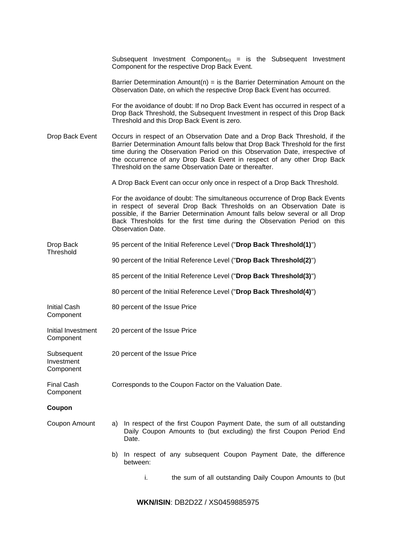|                                       | Subsequent Investment Component <sub>(n)</sub> = is the Subsequent Investment<br>Component for the respective Drop Back Event.                                                                                                                                                                                                                                                    |  |  |
|---------------------------------------|-----------------------------------------------------------------------------------------------------------------------------------------------------------------------------------------------------------------------------------------------------------------------------------------------------------------------------------------------------------------------------------|--|--|
|                                       | Barrier Determination Amount( $n$ ) = is the Barrier Determination Amount on the<br>Observation Date, on which the respective Drop Back Event has occurred.                                                                                                                                                                                                                       |  |  |
|                                       | For the avoidance of doubt: If no Drop Back Event has occurred in respect of a<br>Drop Back Threshold, the Subsequent Investment in respect of this Drop Back<br>Threshold and this Drop Back Event is zero.                                                                                                                                                                      |  |  |
| Drop Back Event                       | Occurs in respect of an Observation Date and a Drop Back Threshold, if the<br>Barrier Determination Amount falls below that Drop Back Threshold for the first<br>time during the Observation Period on this Observation Date, irrespective of<br>the occurrence of any Drop Back Event in respect of any other Drop Back<br>Threshold on the same Observation Date or thereafter. |  |  |
|                                       | A Drop Back Event can occur only once in respect of a Drop Back Threshold.                                                                                                                                                                                                                                                                                                        |  |  |
|                                       | For the avoidance of doubt: The simultaneous occurrence of Drop Back Events<br>in respect of several Drop Back Thresholds on an Observation Date is<br>possible, if the Barrier Determination Amount falls below several or all Drop<br>Back Thresholds for the first time during the Observation Period on this<br><b>Observation Date.</b>                                      |  |  |
| Drop Back<br>Threshold                | 95 percent of the Initial Reference Level ("Drop Back Threshold(1)")                                                                                                                                                                                                                                                                                                              |  |  |
|                                       | 90 percent of the Initial Reference Level ("Drop Back Threshold(2)")                                                                                                                                                                                                                                                                                                              |  |  |
|                                       | 85 percent of the Initial Reference Level ("Drop Back Threshold(3)")                                                                                                                                                                                                                                                                                                              |  |  |
|                                       | 80 percent of the Initial Reference Level ("Drop Back Threshold(4)")                                                                                                                                                                                                                                                                                                              |  |  |
| <b>Initial Cash</b><br>Component      | 80 percent of the Issue Price                                                                                                                                                                                                                                                                                                                                                     |  |  |
| Initial Investment<br>Component       | 20 percent of the Issue Price                                                                                                                                                                                                                                                                                                                                                     |  |  |
| Subsequent<br>Investment<br>Component | 20 percent of the Issue Price                                                                                                                                                                                                                                                                                                                                                     |  |  |
| <b>Final Cash</b><br>Component        | Corresponds to the Coupon Factor on the Valuation Date.                                                                                                                                                                                                                                                                                                                           |  |  |
| Coupon                                |                                                                                                                                                                                                                                                                                                                                                                                   |  |  |
| Coupon Amount                         | In respect of the first Coupon Payment Date, the sum of all outstanding<br>a)<br>Daily Coupon Amounts to (but excluding) the first Coupon Period End<br>Date.                                                                                                                                                                                                                     |  |  |
|                                       | In respect of any subsequent Coupon Payment Date, the difference<br>b)<br>between:                                                                                                                                                                                                                                                                                                |  |  |
|                                       | the sum of all outstanding Daily Coupon Amounts to (but<br>i.                                                                                                                                                                                                                                                                                                                     |  |  |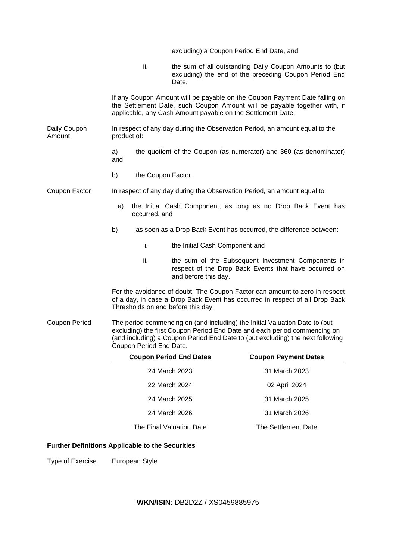|                        |                                    | excluding) a Coupon Period End Date, and                                 |                                                                                                                                                                                                                                            |
|------------------------|------------------------------------|--------------------------------------------------------------------------|--------------------------------------------------------------------------------------------------------------------------------------------------------------------------------------------------------------------------------------------|
|                        | ii.                                | Date.                                                                    | the sum of all outstanding Daily Coupon Amounts to (but<br>excluding) the end of the preceding Coupon Period End                                                                                                                           |
|                        |                                    | applicable, any Cash Amount payable on the Settlement Date.              | If any Coupon Amount will be payable on the Coupon Payment Date falling on<br>the Settlement Date, such Coupon Amount will be payable together with, if                                                                                    |
| Daily Coupon<br>Amount | product of:                        |                                                                          | In respect of any day during the Observation Period, an amount equal to the                                                                                                                                                                |
|                        | a)<br>and                          |                                                                          | the quotient of the Coupon (as numerator) and 360 (as denominator)                                                                                                                                                                         |
|                        | b)<br>the Coupon Factor.           |                                                                          |                                                                                                                                                                                                                                            |
| Coupon Factor          |                                    | In respect of any day during the Observation Period, an amount equal to: |                                                                                                                                                                                                                                            |
|                        | a)<br>occurred, and                |                                                                          | the Initial Cash Component, as long as no Drop Back Event has                                                                                                                                                                              |
|                        | b)                                 |                                                                          | as soon as a Drop Back Event has occurred, the difference between:                                                                                                                                                                         |
|                        | i.                                 | the Initial Cash Component and                                           |                                                                                                                                                                                                                                            |
|                        | ii.                                | and before this day.                                                     | the sum of the Subsequent Investment Components in<br>respect of the Drop Back Events that have occurred on                                                                                                                                |
|                        | Thresholds on and before this day. |                                                                          | For the avoidance of doubt: The Coupon Factor can amount to zero in respect<br>of a day, in case a Drop Back Event has occurred in respect of all Drop Back                                                                                |
| Coupon Period          | Coupon Period End Date.            |                                                                          | The period commencing on (and including) the Initial Valuation Date to (but<br>excluding) the first Coupon Period End Date and each period commencing on<br>(and including) a Coupon Period End Date to (but excluding) the next following |
|                        |                                    | <b>Coupon Period End Dates</b>                                           | <b>Coupon Payment Dates</b>                                                                                                                                                                                                                |
|                        |                                    | 24 March 2023                                                            | 31 March 2023                                                                                                                                                                                                                              |
|                        |                                    | 22 March 2024                                                            | 02 April 2024                                                                                                                                                                                                                              |
|                        |                                    | 24 March 2025                                                            | 31 March 2025                                                                                                                                                                                                                              |
|                        |                                    | 24 March 2026                                                            | 31 March 2026                                                                                                                                                                                                                              |
|                        |                                    | The Final Valuation Date                                                 | The Settlement Date                                                                                                                                                                                                                        |

# **Further Definitions Applicable to the Securities**

Type of Exercise European Style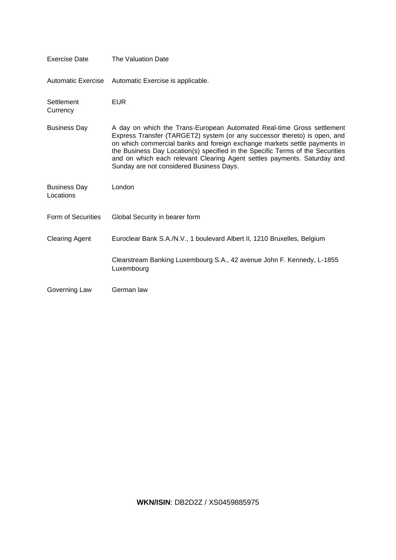| <b>Exercise Date</b>             | The Valuation Date                                                                                                                                                                                                                                                                                                                                                                                                                         |  |
|----------------------------------|--------------------------------------------------------------------------------------------------------------------------------------------------------------------------------------------------------------------------------------------------------------------------------------------------------------------------------------------------------------------------------------------------------------------------------------------|--|
| Automatic Exercise               | Automatic Exercise is applicable.                                                                                                                                                                                                                                                                                                                                                                                                          |  |
| Settlement<br>Currency           | <b>EUR</b>                                                                                                                                                                                                                                                                                                                                                                                                                                 |  |
| <b>Business Day</b>              | A day on which the Trans-European Automated Real-time Gross settlement<br>Express Transfer (TARGET2) system (or any successor thereto) is open, and<br>on which commercial banks and foreign exchange markets settle payments in<br>the Business Day Location(s) specified in the Specific Terms of the Securities<br>and on which each relevant Clearing Agent settles payments. Saturday and<br>Sunday are not considered Business Days. |  |
| <b>Business Day</b><br>Locations | London                                                                                                                                                                                                                                                                                                                                                                                                                                     |  |
| Form of Securities               | Global Security in bearer form                                                                                                                                                                                                                                                                                                                                                                                                             |  |
| <b>Clearing Agent</b>            | Euroclear Bank S.A./N.V., 1 boulevard Albert II, 1210 Bruxelles, Belgium                                                                                                                                                                                                                                                                                                                                                                   |  |
|                                  | Clearstream Banking Luxembourg S.A., 42 avenue John F. Kennedy, L-1855<br>Luxembourg                                                                                                                                                                                                                                                                                                                                                       |  |
| Governing Law                    | German law                                                                                                                                                                                                                                                                                                                                                                                                                                 |  |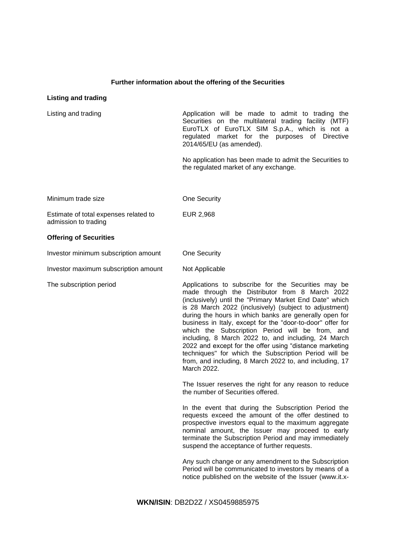### **Further information about the offering of the Securities**

### **Listing and trading**

Listing and trading the Application will be made to admit to trading the Securities on the multilateral trading facility (MTF) EuroTLX of EuroTLX SIM S.p.A., which is not a regulated market for the purposes of Directive 2014/65/EU (as amended). No application has been made to admit the Securities to the regulated market of any exchange. Minimum trade size **Confidence** One Security Estimate of total expenses related to admission to trading EUR 2,968 **Offering of Securities** Investor minimum subscription amount One Security Investor maximum subscription amount Not Applicable The subscription period The subscription period Applications to subscribe for the Securities may be made through the Distributor from 8 March 2022 (inclusively) until the "Primary Market End Date" which is 28 March 2022 (inclusively) (subject to adjustment) during the hours in which banks are generally open for business in Italy, except for the "door-to-door" offer for which the Subscription Period will be from, and including, 8 March 2022 to, and including, 24 March 2022 and except for the offer using "distance marketing techniques" for which the Subscription Period will be from, and including, 8 March 2022 to, and including, 17 March 2022. The Issuer reserves the right for any reason to reduce the number of Securities offered. In the event that during the Subscription Period the requests exceed the amount of the offer destined to prospective investors equal to the maximum aggregate nominal amount, the Issuer may proceed to early terminate the Subscription Period and may immediately suspend the acceptance of further requests. Any such change or any amendment to the Subscription Period will be communicated to investors by means of a notice published on the website of the Issuer [\(www.it.x-](http://www.it.x-markets.db.com)/)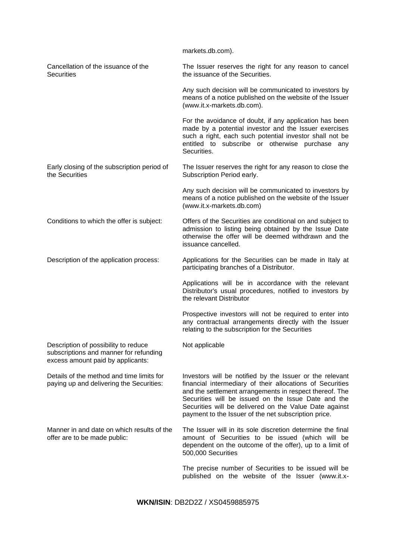[markets.db.com\)](http://www.it.x-markets.db.com)/).

Cancellation of the issuance of the **Securities** The Issuer reserves the right for any reason to cancel the issuance of the Securities.

> Any such decision will be communicated to investors by means of a notice published on the website of the Issuer (www.it.x-markets.db.com).

> For the avoidance of doubt, if any application has been made by a potential investor and the Issuer exercises such a right, each such potential investor shall not be entitled to subscribe or otherwise purchase any Securities.

Early closing of the subscription period of the Securities The Issuer reserves the right for any reason to close the Subscription Period early.

> Any such decision will be communicated to investors by means of a notice published on the website of the Issuer (www.it.x-markets.db.com)

Conditions to which the offer is subject: Offers of the Securities are conditional on and subject to admission to listing being obtained by the Issue Date otherwise the offer will be deemed withdrawn and the issuance cancelled.

Not applicable

Description of the application process: Applications for the Securities can be made in Italy at participating branches of a Distributor.

> Applications will be in accordance with the relevant Distributor's usual procedures, notified to investors by the relevant Distributor

> Prospective investors will not be required to enter into any contractual arrangements directly with the Issuer relating to the subscription for the Securities

Description of possibility to reduce subscriptions and manner for refunding excess amount paid by applicants:

Details of the method and time limits for paying up and delivering the Securities:

Manner in and date on which results of the offer are to be made public:

Investors will be notified by the Issuer or the relevant financial intermediary of their allocations of Securities and the settlement arrangements in respect thereof. The Securities will be issued on the Issue Date and the Securities will be delivered on the Value Date against payment to the Issuer of the net subscription price.

The Issuer will in its sole discretion determine the final amount of Securities to be issued (which will be dependent on the outcome of the offer), up to a limit of 500,000 Securities

The precise number of Securities to be issued will be published on the website of the Issuer (www.it.x-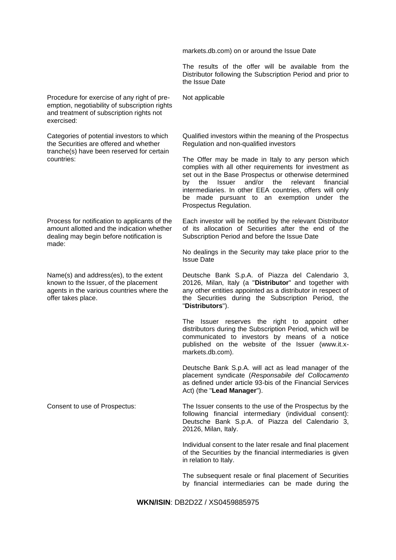markets.db.com) on or around the Issue Date

The results of the offer will be available from the Distributor following the Subscription Period and prior to the Issue Date

Procedure for exercise of any right of preemption, negotiability of subscription rights and treatment of subscription rights not exercised:

Categories of potential investors to which the Securities are offered and whether tranche(s) have been reserved for certain countries:

Process for notification to applicants of the amount allotted and the indication whether dealing may begin before notification is made:

Name(s) and address(es), to the extent known to the Issuer, of the placement agents in the various countries where the offer takes place.

Not applicable

Qualified investors within the meaning of the Prospectus Regulation and non-qualified investors

The Offer may be made in Italy to any person which complies with all other requirements for investment as set out in the Base Prospectus or otherwise determined by the Issuer and/or the relevant financial intermediaries. In other EEA countries, offers will only be made pursuant to an exemption under the Prospectus Regulation.

Each investor will be notified by the relevant Distributor of its allocation of Securities after the end of the Subscription Period and before the Issue Date

No dealings in the Security may take place prior to the Issue Date

Deutsche Bank S.p.A. of Piazza del Calendario 3, 20126, Milan, Italy (a "**Distributor**" and together with any other entities appointed as a distributor in respect of the Securities during the Subscription Period, the "**Distributors**").

The Issuer reserves the right to appoint other distributors during the Subscription Period, which will be communicated to investors by means of a notice published on the website of the Issuer (www.it.xmarkets.db.com).

Deutsche Bank S.p.A. will act as lead manager of the placement syndicate (*Responsabile del Collocamento*  as defined under article 93-bis of the Financial Services Act) (the "**Lead Manager**").

Consent to use of Prospectus: The Issuer consents to the use of the Prospectus by the following financial intermediary (individual consent): Deutsche Bank S.p.A. of Piazza del Calendario 3, 20126, Milan, Italy.

> Individual consent to the later resale and final placement of the Securities by the financial intermediaries is given in relation to Italy.

> The subsequent resale or final placement of Securities by financial intermediaries can be made during the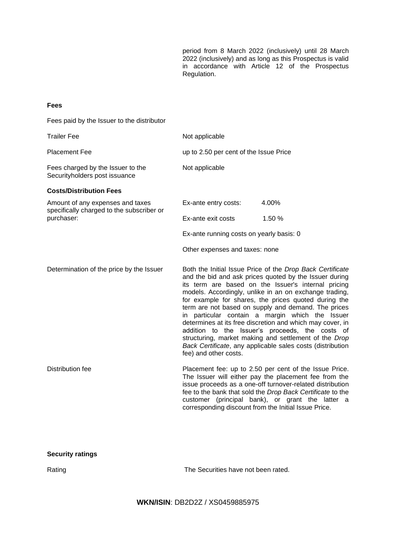period from 8 March 2022 (inclusively) until 28 March 2022 (inclusively) and as long as this Prospectus is valid in accordance with Article 12 of the Prospectus Regulation.

### **Fees**

Fees paid by the Issuer to the distributor

| <b>Trailer Fee</b>                                                            | Not applicable                                                                                                                                                                                                                                                                                                                                                                                                                                                                                                                                                                                                                                                         |                                                                                                                                                                                                                                                                                                |
|-------------------------------------------------------------------------------|------------------------------------------------------------------------------------------------------------------------------------------------------------------------------------------------------------------------------------------------------------------------------------------------------------------------------------------------------------------------------------------------------------------------------------------------------------------------------------------------------------------------------------------------------------------------------------------------------------------------------------------------------------------------|------------------------------------------------------------------------------------------------------------------------------------------------------------------------------------------------------------------------------------------------------------------------------------------------|
| <b>Placement Fee</b>                                                          | up to 2.50 per cent of the Issue Price                                                                                                                                                                                                                                                                                                                                                                                                                                                                                                                                                                                                                                 |                                                                                                                                                                                                                                                                                                |
| Fees charged by the Issuer to the<br>Securityholders post issuance            | Not applicable                                                                                                                                                                                                                                                                                                                                                                                                                                                                                                                                                                                                                                                         |                                                                                                                                                                                                                                                                                                |
| <b>Costs/Distribution Fees</b>                                                |                                                                                                                                                                                                                                                                                                                                                                                                                                                                                                                                                                                                                                                                        |                                                                                                                                                                                                                                                                                                |
| Amount of any expenses and taxes<br>specifically charged to the subscriber or | Ex-ante entry costs:                                                                                                                                                                                                                                                                                                                                                                                                                                                                                                                                                                                                                                                   | 4.00%                                                                                                                                                                                                                                                                                          |
| purchaser:                                                                    | Ex-ante exit costs                                                                                                                                                                                                                                                                                                                                                                                                                                                                                                                                                                                                                                                     | 1.50 %                                                                                                                                                                                                                                                                                         |
|                                                                               | Ex-ante running costs on yearly basis: 0                                                                                                                                                                                                                                                                                                                                                                                                                                                                                                                                                                                                                               |                                                                                                                                                                                                                                                                                                |
|                                                                               | Other expenses and taxes: none                                                                                                                                                                                                                                                                                                                                                                                                                                                                                                                                                                                                                                         |                                                                                                                                                                                                                                                                                                |
| Determination of the price by the Issuer                                      | Both the Initial Issue Price of the Drop Back Certificate<br>and the bid and ask prices quoted by the Issuer during<br>its term are based on the Issuer's internal pricing<br>models. Accordingly, unlike in an on exchange trading,<br>for example for shares, the prices quoted during the<br>term are not based on supply and demand. The prices<br>in particular contain a margin which the Issuer<br>determines at its free discretion and which may cover, in<br>addition to the Issuer's proceeds, the costs of<br>structuring, market making and settlement of the Drop<br>Back Certificate, any applicable sales costs (distribution<br>fee) and other costs. |                                                                                                                                                                                                                                                                                                |
| Distribution fee                                                              | corresponding discount from the Initial Issue Price.                                                                                                                                                                                                                                                                                                                                                                                                                                                                                                                                                                                                                   | Placement fee: up to 2.50 per cent of the Issue Price.<br>The Issuer will either pay the placement fee from the<br>issue proceeds as a one-off turnover-related distribution<br>fee to the bank that sold the Drop Back Certificate to the<br>customer (principal bank), or grant the latter a |

Rating Rating **The Securities have not been rated.**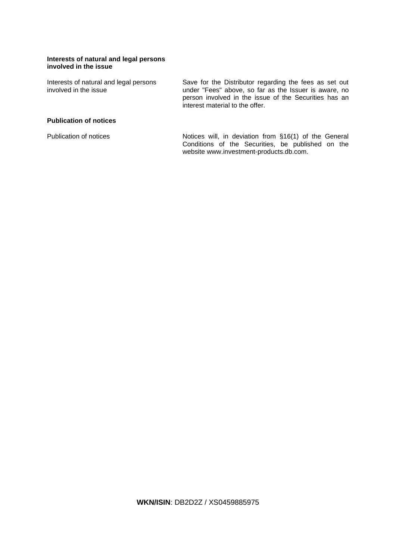### **Interests of natural and legal persons involved in the issue**

Interests of natural and legal persons involved in the issue

Save for the Distributor regarding the fees as set out under "Fees" above, so far as the Issuer is aware, no person involved in the issue of the Securities has an interest material to the offer.

# **Publication of notices**

Publication of notices **Notices** Notices will, in deviation from §16(1) of the General Conditions of the Securities, be published on the website www.investment-products.db.com.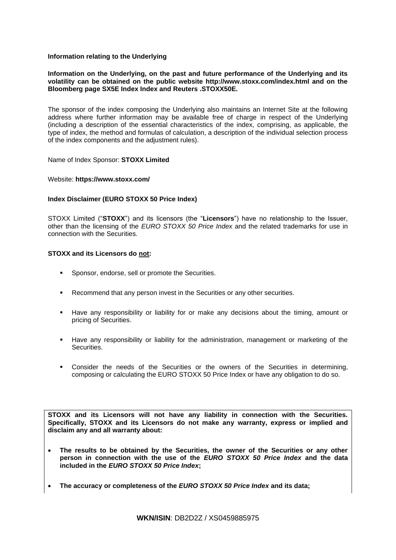### **Information relating to the Underlying**

### **Information on the Underlying, on the past and future performance of the Underlying and its volatility can be obtained on the public website http://www.stoxx.com/index.html and on the Bloomberg page SX5E Index Index and Reuters .STOXX50E.**

The sponsor of the index composing the Underlying also maintains an Internet Site at the following address where further information may be available free of charge in respect of the Underlying (including a description of the essential characteristics of the index, comprising, as applicable, the type of index, the method and formulas of calculation, a description of the individual selection process of the index components and the adjustment rules).

### Name of Index Sponsor: **STOXX Limited**

### Website: **https://www.stoxx.com/**

### **Index Disclaimer (EURO STOXX 50 Price Index)**

STOXX Limited ("**STOXX**") and its licensors (the "**Licensors**") have no relationship to the Issuer, other than the licensing of the *EURO STOXX 50 Price Index* and the related trademarks for use in connection with the Securities.

### **STOXX and its Licensors do not:**

- Sponsor, endorse, sell or promote the Securities.
- Recommend that any person invest in the Securities or any other securities.
- Have any responsibility or liability for or make any decisions about the timing, amount or pricing of Securities.
- Have any responsibility or liability for the administration, management or marketing of the **Securities**
- Consider the needs of the Securities or the owners of the Securities in determining, composing or calculating the EURO STOXX 50 Price Index or have any obligation to do so.

**STOXX and its Licensors will not have any liability in connection with the Securities. Specifically, STOXX and its Licensors do not make any warranty, express or implied and disclaim any and all warranty about:**

- **The results to be obtained by the Securities, the owner of the Securities or any other person in connection with the use of the** *EURO STOXX 50 Price Index* **and the data included in the** *EURO STOXX 50 Price Index***;**
- **The accuracy or completeness of the** *EURO STOXX 50 Price Index* **and its data;**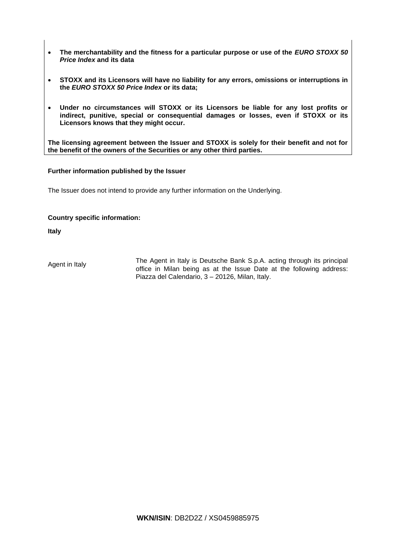- **The merchantability and the fitness for a particular purpose or use of the** *EURO STOXX 50 Price Index* **and its data**
- **STOXX and its Licensors will have no liability for any errors, omissions or interruptions in the** *EURO STOXX 50 Price Index* **or its data;**
- **Under no circumstances will STOXX or its Licensors be liable for any lost profits or indirect, punitive, special or consequential damages or losses, even if STOXX or its Licensors knows that they might occur.**

**The licensing agreement between the Issuer and STOXX is solely for their benefit and not for the benefit of the owners of the Securities or any other third parties.**

### **Further information published by the Issuer**

The Issuer does not intend to provide any further information on the Underlying.

# **Country specific information:**

**Italy**

Agent in Italy The Agent in Italy is Deutsche Bank S.p.A. acting through its principal office in Milan being as at the Issue Date at the following address: Piazza del Calendario, 3 – 20126, Milan, Italy.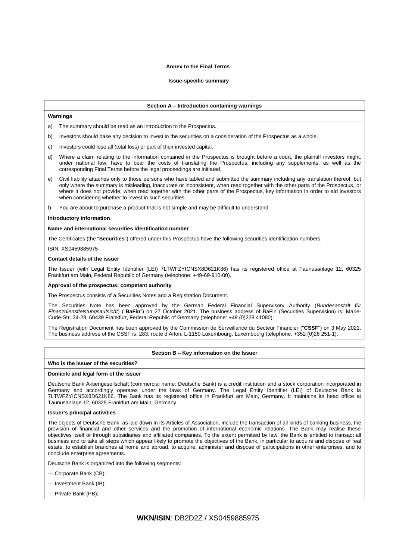#### **Annex to the Final Terms**

#### **Issue-specific summary**

#### **Section A – Introduction containing warnings**

#### **Warnings**

The summary should be read as an introduction to the Prospectus.

- b) Investors should base any decision to invest in the securities on a consideration of the Prospectus as a whole.
- c) Investors could lose all (total loss) or part of their invested capital.
- d) Where a claim relating to the information contained in the Prospectus is brought before a court, the plaintiff investors might, under national law, have to bear the costs of translating the Prospectus, including any supplements, as well as the corresponding Final Terms before the legal proceedings are initiated.
- e) Civil liability attaches only to those persons who have tabled and submitted the summary including any translation thereof, but only where the summary is misleading, inaccurate or inconsistent, when read together with the other parts of the Prospectus, or where it does not provide, when read together with the other parts of the Prospectus, key information in order to aid investors when considering whether to invest in such securities.
- f) You are about to purchase a product that is not simple and may be difficult to understand

#### **Introductory information**

#### **Name and international securities identification number**

The Certificates (the "**Securities**") offered under this Prospectus have the following securities identification numbers:

ISIN: XS0459885975

#### **Contact details of the issuer**

The Issuer (with Legal Entity Identifier (LEI) 7LTWFZYICNSX8D621K86) has its registered office at Taunusanlage 12, 60325 Frankfurt am Main, Federal Republic of Germany (telephone: +49-69-910-00).

#### **Approval of the prospectus; competent authority**

The Prospectus consists of a Securities Notes and a Registration Document.

The Securities Note has been approved by the German Federal Financial Supervisory Authority (*Bundesanstalt für Finanzdienstleistungsaufsicht*) ("**BaFin**") on 27 October 2021. The business address of BaFin (Securities Supervision) is: Marie-Curie-Str. 24-28, 60439 Frankfurt, Federal Republic of Germany (telephone: +49 (0)228 41080).

The Registration Document has been approved by the Commission de Surveillance du Secteur Financier ("**CSSF**") on 3 May 2021. The business address of the CSSF is: 283, route d'Arlon, L-1150 Luxembourg, Luxembourg (telephone: +352 (0)26 251-1).

#### **Section B – Key information on the Issuer**

#### **Who is the issuer of the securities?**

#### **Domicile and legal form of the issuer**

Deutsche Bank Aktiengesellschaft (commercial name: Deutsche Bank) is a credit institution and a stock corporation incorporated in Germany and accordingly operates under the laws of Germany. The Legal Entity Identifier (LEI) of Deutsche Bank is 7LTWFZYICNSX8D621K86. The Bank has its registered office in Frankfurt am Main, Germany. It maintains its head office at Taunusanlage 12, 60325 Frankfurt am Main, Germany.

#### **Issuer's principal activities**

The objects of Deutsche Bank, as laid down in its Articles of Association, include the transaction of all kinds of banking business, the provision of financial and other services and the promotion of international economic relations. The Bank may realise these objectives itself or through subsidiaries and affiliated companies. To the extent permitted by law, the Bank is entitled to transact all business and to take all steps which appear likely to promote the objectives of the Bank, in particular to acquire and dispose of real estate, to establish branches at home and abroad, to acquire, administer and dispose of participations in other enterprises, and to conclude enterprise agreements.

Deutsche Bank is organized into the following segments:

- Corporate Bank (CB);
- Investment Bank (IB);
- Private Bank (PB);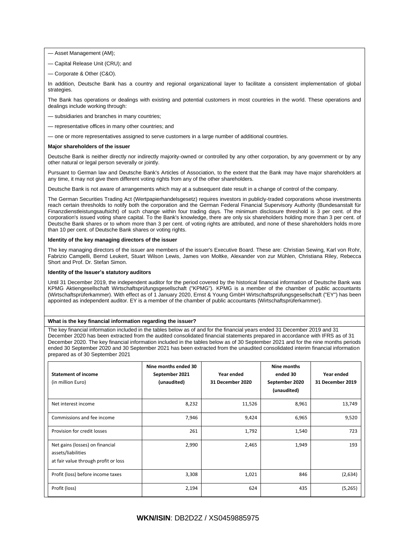- Asset Management (AM);
- Capital Release Unit (CRU); and
- Corporate & Other (C&O).

In addition, Deutsche Bank has a country and regional organizational layer to facilitate a consistent implementation of global strategies.

The Bank has operations or dealings with existing and potential customers in most countries in the world. These operations and dealings include working through:

- subsidiaries and branches in many countries;
- representative offices in many other countries; and
- one or more representatives assigned to serve customers in a large number of additional countries.

#### **Major shareholders of the issuer**

Deutsche Bank is neither directly nor indirectly majority-owned or controlled by any other corporation, by any government or by any other natural or legal person severally or jointly.

Pursuant to German law and Deutsche Bank's Articles of Association, to the extent that the Bank may have major shareholders at any time, it may not give them different voting rights from any of the other shareholders.

Deutsche Bank is not aware of arrangements which may at a subsequent date result in a change of control of the company.

The German Securities Trading Act (Wertpapierhandelsgesetz) requires investors in publicly-traded corporations whose investments reach certain thresholds to notify both the corporation and the German Federal Financial Supervisory Authority (Bundesanstalt für Finanzdienstleistungsaufsicht) of such change within four trading days. The minimum disclosure threshold is 3 per cent. of the corporation's issued voting share capital. To the Bank's knowledge, there are only six shareholders holding more than 3 per cent. of Deutsche Bank shares or to whom more than 3 per cent. of voting rights are attributed, and none of these shareholders holds more than 10 per cent. of Deutsche Bank shares or voting rights.

#### **Identity of the key managing directors of the issuer**

The key managing directors of the issuer are members of the issuer's Executive Board. These are: Christian Sewing, Karl von Rohr, Fabrizio Campelli, Bernd Leukert, Stuart Wilson Lewis, James von Moltke, Alexander von zur Mühlen, Christiana Riley, Rebecca Short and Prof. Dr. Stefan Simon.

#### **Identity of the Issuer's statutory auditors**

Until 31 December 2019, the independent auditor for the period covered by the historical financial information of Deutsche Bank was KPMG Aktiengesellschaft Wirtschaftsprüfungsgesellschaft ("KPMG"). KPMG is a member of the chamber of public accountants (Wirtschaftsprüferkammer). With effect as of 1 January 2020, Ernst & Young GmbH Wirtschaftsprüfungsgesellschaft ("EY") has been appointed as independent auditor. EY is a member of the chamber of public accountants (Wirtschaftsprüferkammer).

#### **What is the key financial information regarding the issuer?**

The key financial information included in the tables below as of and for the financial years ended 31 December 2019 and 31 December 2020 has been extracted from the audited consolidated financial statements prepared in accordance with IFRS as of 31 December 2020. The key financial information included in the tables below as of 30 September 2021 and for the nine months periods ended 30 September 2020 and 30 September 2021 has been extracted from the unaudited consolidated interim financial information prepared as of 30 September 2021

| <b>Statement of income</b><br>(in million Euro)                                               | Nine months ended 30<br>September 2021<br>(unaudited) | Year ended<br>31 December 2020 | Nine months<br>ended 30<br>September 2020<br>(unaudited) | Year ended<br>31 December 2019 |
|-----------------------------------------------------------------------------------------------|-------------------------------------------------------|--------------------------------|----------------------------------------------------------|--------------------------------|
| Net interest income                                                                           | 8,232                                                 | 11,526                         | 8,961                                                    | 13,749                         |
| Commissions and fee income                                                                    | 7,946                                                 | 9,424                          | 6,965                                                    | 9,520                          |
| Provision for credit losses                                                                   | 261                                                   | 1,792                          | 1,540                                                    | 723                            |
| Net gains (losses) on financial<br>assets/liabilities<br>at fair value through profit or loss | 2,990                                                 | 2,465                          | 1,949                                                    | 193                            |
| Profit (loss) before income taxes                                                             | 3,308                                                 | 1,021                          | 846                                                      | (2,634)                        |
| Profit (loss)                                                                                 | 2,194                                                 | 624                            | 435                                                      | (5,265)                        |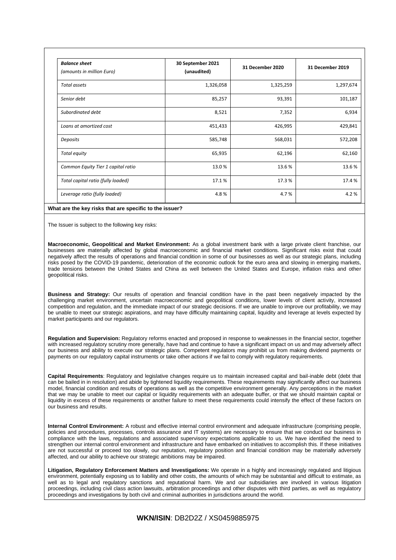| <b>Balance sheet</b><br>(amounts in million Euro) | 30 September 2021<br>(unaudited) | 31 December 2020 | 31 December 2019 |
|---------------------------------------------------|----------------------------------|------------------|------------------|
| Total assets                                      | 1,326,058                        | 1,325,259        | 1,297,674        |
| Senior debt                                       | 85,257                           | 93,391           | 101,187          |
| Subordinated debt                                 | 8,521                            | 7,352            | 6,934            |
| Loans at amortized cost                           | 451,433                          | 426,995          | 429,841          |
| Deposits                                          | 585,748                          | 568,031          | 572,208          |
| Total equity                                      | 65,935                           | 62,196           | 62,160           |
| Common Equity Tier 1 capital ratio                | 13.0%                            | 13.6%            | 13.6%            |
| Total capital ratio (fully loaded)                | 17.1%                            | 17.3 %           | 17.4 %           |
| Leverage ratio (fully loaded)                     | 4.8%                             | 4.7%             | 4.2%             |

#### **What are the key risks that are specific to the issuer?**

The Issuer is subject to the following key risks:

**Macroeconomic, Geopolitical and Market Environment:** As a global investment bank with a large private client franchise, our businesses are materially affected by global macroeconomic and financial market conditions. Significant risks exist that could negatively affect the results of operations and financial condition in some of our businesses as well as our strategic plans, including risks posed by the COVID-19 pandemic, deterioration of the economic outlook for the euro area and slowing in emerging markets, trade tensions between the United States and China as well between the United States and Europe, inflation risks and other geopolitical risks.

**Business and Strategy:** Our results of operation and financial condition have in the past been negatively impacted by the challenging market environment, uncertain macroeconomic and geopolitical conditions, lower levels of client activity, increased competition and regulation, and the immediate impact of our strategic decisions. If we are unable to improve our profitability, we may be unable to meet our strategic aspirations, and may have difficulty maintaining capital, liquidity and leverage at levels expected by market participants and our regulators.

**Regulation and Supervision:** Regulatory reforms enacted and proposed in response to weaknesses in the financial sector, together with increased regulatory scrutiny more generally, have had and continue to have a significant impact on us and may adversely affect our business and ability to execute our strategic plans. Competent regulators may prohibit us from making dividend payments or payments on our regulatory capital instruments or take other actions if we fail to comply with regulatory requirements.

**Capital Requirements**: Regulatory and legislative changes require us to maintain increased capital and bail-inable debt (debt that can be bailed in in resolution) and abide by tightened liquidity requirements. These requirements may significantly affect our business model, financial condition and results of operations as well as the competitive environment generally. Any perceptions in the market that we may be unable to meet our capital or liquidity requirements with an adequate buffer, or that we should maintain capital or liquidity in excess of these requirements or another failure to meet these requirements could intensify the effect of these factors on our business and results.

**Internal Control Environment:** A robust and effective internal control environment and adequate infrastructure (comprising people, policies and procedures, processes, controls assurance and IT systems) are necessary to ensure that we conduct our business in compliance with the laws, regulations and associated supervisory expectations applicable to us. We have identified the need to strengthen our internal control environment and infrastructure and have embarked on initiatives to accomplish this. If these initiatives are not successful or proceed too slowly, our reputation, regulatory position and financial condition may be materially adversely affected, and our ability to achieve our strategic ambitions may be impaired.

**Litigation, Regulatory Enforcement Matters and Investigations:** We operate in a highly and increasingly regulated and litigious environment, potentially exposing us to liability and other costs, the amounts of which may be substantial and difficult to estimate, as well as to legal and regulatory sanctions and reputational harm. We and our subsidiaries are involved in various litigation proceedings, including civil class action lawsuits, arbitration proceedings and other disputes with third parties, as well as regulatory proceedings and investigations by both civil and criminal authorities in jurisdictions around the world.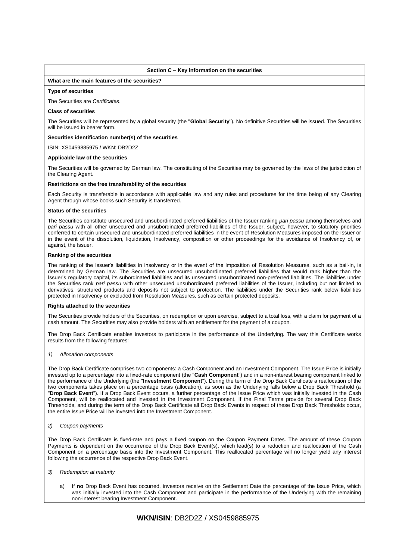#### **Section C – Key information on the securities**

#### **What are the main features of the securities?**

#### **Type of securities**

The Securities are *Certificates*.

#### **Class of securities**

The Securities will be represented by a global security (the "**Global Security**"). No definitive Securities will be issued. The Securities will be issued in bearer form.

#### **Securities identification number(s) of the securities**

ISIN: XS0459885975 / WKN: DB2D2Z

#### **Applicable law of the securities**

The Securities will be governed by German law. The constituting of the Securities may be governed by the laws of the jurisdiction of the Clearing Agent.

#### **Restrictions on the free transferability of the securities**

Each Security is transferable in accordance with applicable law and any rules and procedures for the time being of any Clearing Agent through whose books such Security is transferred.

#### **Status of the securities**

The Securities constitute unsecured and unsubordinated preferred liabilities of the Issuer ranking *pari passu* among themselves and *pari passu* with all other unsecured and unsubordinated preferred liabilities of the Issuer, subject, however, to statutory priorities conferred to certain unsecured and unsubordinated preferred liabilities in the event of Resolution Measures imposed on the Issuer or in the event of the dissolution, liquidation, Insolvency, composition or other proceedings for the avoidance of Insolvency of, or against, the Issuer.

#### **Ranking of the securities**

The ranking of the Issuer's liabilities in insolvency or in the event of the imposition of Resolution Measures, such as a bail-in, is determined by German law. The Securities are unsecured unsubordinated preferred liabilities that would rank higher than the Issuer's regulatory capital, its subordinated liabilities and its unsecured unsubordinated non-preferred liabilities. The liabilities under the Securities rank *pari passu* with other unsecured unsubordinated preferred liabilities of the Issuer, including but not limited to derivatives, structured products and deposits not subject to protection. The liabilities under the Securities rank below liabilities protected in Insolvency or excluded from Resolution Measures, such as certain protected deposits.

#### **Rights attached to the securities**

The Securities provide holders of the Securities, on redemption or upon exercise, subject to a total loss, with a claim for payment of a cash amount. The Securities may also provide holders with an entitlement for the payment of a coupon.

The Drop Back Certificate enables investors to participate in the performance of the Underlying. The way this Certificate works results from the following features:

#### *1) Allocation components*

The Drop Back Certificate comprises two components: a Cash Component and an Investment Component. The Issue Price is initially invested up to a percentage into a fixed-rate component (the "**Cash Component**") and in a non-interest bearing component linked to the performance of the Underlying (the "**Investment Component**"). During the term of the Drop Back Certificate a reallocation of the two components takes place on a percentage basis (allocation), as soon as the Underlying falls below a Drop Back Threshold (a "**Drop Back Event**"). If a Drop Back Event occurs, a further percentage of the Issue Price which was initially invested in the Cash Component, will be reallocated and invested in the Investment Component. If the Final Terms provide for several Drop Back Thresholds, and during the term of the Drop Back Certificate all Drop Back Events in respect of these Drop Back Thresholds occur, the entire Issue Price will be invested into the Investment Component.

#### *2) Coupon payments*

The Drop Back Certificate is fixed-rate and pays a fixed coupon on the Coupon Payment Dates. The amount of these Coupon Payments is dependent on the occurrence of the Drop Back Event(s), which lead(s) to a reduction and reallocation of the Cash Component on a percentage basis into the Investment Component. This reallocated percentage will no longer yield any interest following the occurrence of the respective Drop Back Event.

#### *3) Redemption at maturity*

a) If **no** Drop Back Event has occurred, investors receive on the Settlement Date the percentage of the Issue Price, which was initially invested into the Cash Component and participate in the performance of the Underlying with the remaining non-interest bearing Investment Component.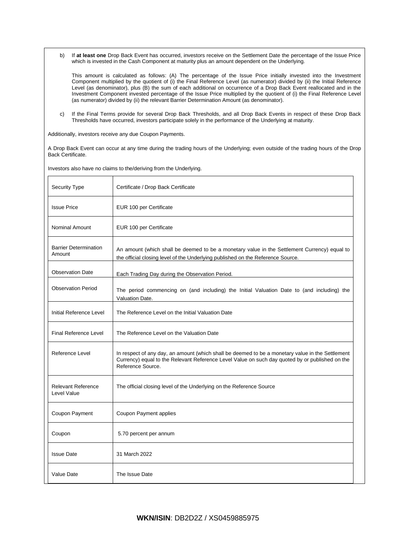b) If **at least one** Drop Back Event has occurred, investors receive on the Settlement Date the percentage of the Issue Price which is invested in the Cash Component at maturity plus an amount dependent on the Underlying.

This amount is calculated as follows: (A) The percentage of the Issue Price initially invested into the Investment Component multiplied by the quotient of (i) the Final Reference Level (as numerator) divided by (ii) the Initial Reference Level (as denominator), plus (B) the sum of each additional on occurrence of a Drop Back Event reallocated and in the Investment Component invested percentage of the Issue Price multiplied by the quotient of (i) the Final Reference Level (as numerator) divided by (ii) the relevant Barrier Determination Amount (as denominator).

c) If the Final Terms provide for several Drop Back Thresholds, and all Drop Back Events in respect of these Drop Back Thresholds have occurred, investors participate solely in the performance of the Underlying at maturity.

Additionally, investors receive any due Coupon Payments.

A Drop Back Event can occur at any time during the trading hours of the Underlying; even outside of the trading hours of the Drop Back Certificate.

| Security Type                            | Certificate / Drop Back Certificate                                                                                                                                                                                      |
|------------------------------------------|--------------------------------------------------------------------------------------------------------------------------------------------------------------------------------------------------------------------------|
| <b>Issue Price</b>                       | EUR 100 per Certificate                                                                                                                                                                                                  |
| Nominal Amount                           | EUR 100 per Certificate                                                                                                                                                                                                  |
| <b>Barrier Determination</b><br>Amount   | An amount (which shall be deemed to be a monetary value in the Settlement Currency) equal to<br>the official closing level of the Underlying published on the Reference Source.                                          |
| <b>Observation Date</b>                  | Each Trading Day during the Observation Period.                                                                                                                                                                          |
| <b>Observation Period</b>                | The period commencing on (and including) the Initial Valuation Date to (and including) the<br>Valuation Date.                                                                                                            |
| Initial Reference Level                  | The Reference Level on the Initial Valuation Date                                                                                                                                                                        |
| <b>Final Reference Level</b>             | The Reference Level on the Valuation Date                                                                                                                                                                                |
| Reference Level                          | In respect of any day, an amount (which shall be deemed to be a monetary value in the Settlement<br>Currency) equal to the Relevant Reference Level Value on such day quoted by or published on the<br>Reference Source. |
| <b>Relevant Reference</b><br>Level Value | The official closing level of the Underlying on the Reference Source                                                                                                                                                     |
| Coupon Payment                           | <b>Coupon Payment applies</b>                                                                                                                                                                                            |
| Coupon                                   | 5.70 percent per annum                                                                                                                                                                                                   |
| <b>Issue Date</b>                        | 31 March 2022                                                                                                                                                                                                            |
| Value Date                               | The Issue Date                                                                                                                                                                                                           |

Investors also have no claims to the/deriving from the Underlying.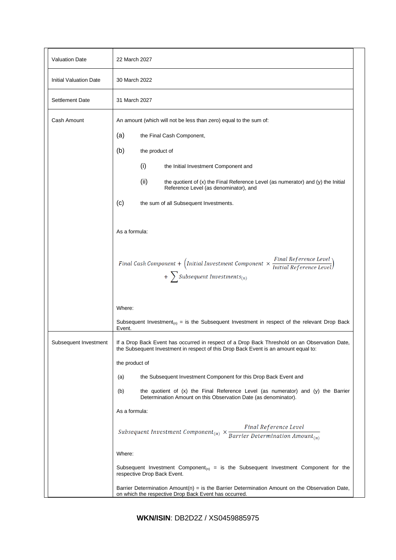| <b>Valuation Date</b>         | 22 March 2027                                                                                                                                                                                            |  |
|-------------------------------|----------------------------------------------------------------------------------------------------------------------------------------------------------------------------------------------------------|--|
| <b>Initial Valuation Date</b> | 30 March 2022                                                                                                                                                                                            |  |
| <b>Settlement Date</b>        | 31 March 2027                                                                                                                                                                                            |  |
| Cash Amount                   | An amount (which will not be less than zero) equal to the sum of:                                                                                                                                        |  |
|                               | (a)<br>the Final Cash Component,                                                                                                                                                                         |  |
|                               | (b)<br>the product of                                                                                                                                                                                    |  |
|                               | (i)<br>the Initial Investment Component and                                                                                                                                                              |  |
|                               | (ii)<br>the quotient of (x) the Final Reference Level (as numerator) and (y) the Initial<br>Reference Level (as denominator), and                                                                        |  |
|                               | (c)<br>the sum of all Subsequent Investments.                                                                                                                                                            |  |
|                               | As a formula:                                                                                                                                                                                            |  |
|                               | Final Cash Component + $\left(\text{Initial Investment Component} \times \frac{\text{Final Reference Level}}{\text{Initial Reference Level}}\right)$<br>$+$ $\sum$ Subsequent Investments <sub>(n)</sub> |  |
|                               | Where:                                                                                                                                                                                                   |  |
|                               | Subsequent Investment <sub>(n)</sub> = is the Subsequent Investment in respect of the relevant Drop Back<br>Event.                                                                                       |  |
| Subsequent Investment         | If a Drop Back Event has occurred in respect of a Drop Back Threshold on an Observation Date,<br>the Subsequent Investment in respect of this Drop Back Event is an amount equal to:                     |  |
|                               | the product of                                                                                                                                                                                           |  |
|                               | the Subsequent Investment Component for this Drop Back Event and<br>(a)                                                                                                                                  |  |
|                               | the quotient of $(x)$ the Final Reference Level (as numerator) and $(y)$ the Barrier<br>(b)<br>Determination Amount on this Observation Date (as denominator).                                           |  |
|                               | As a formula:                                                                                                                                                                                            |  |
|                               | Final Reference Level<br>Subsequent Investment Component <sub>(n)</sub> $\times \frac{r \cdot \text{true}}{Barrier \, Determination \, Amount_{(n)}}$                                                    |  |
|                               | Where:                                                                                                                                                                                                   |  |
|                               | Subsequent Investment Component <sub>(n)</sub> = is the Subsequent Investment Component for the<br>respective Drop Back Event.                                                                           |  |
|                               | Barrier Determination Amount( $n$ ) = is the Barrier Determination Amount on the Observation Date,<br>on which the respective Drop Back Event has occurred.                                              |  |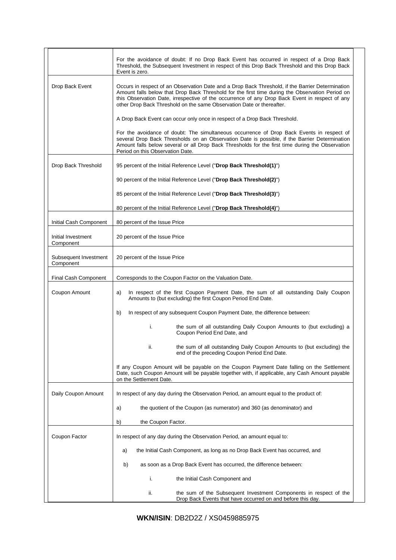|                                    | For the avoidance of doubt: If no Drop Back Event has occurred in respect of a Drop Back<br>Threshold, the Subsequent Investment in respect of this Drop Back Threshold and this Drop Back<br>Event is zero.                                                                                                                                                                   |  |
|------------------------------------|--------------------------------------------------------------------------------------------------------------------------------------------------------------------------------------------------------------------------------------------------------------------------------------------------------------------------------------------------------------------------------|--|
| Drop Back Event                    | Occurs in respect of an Observation Date and a Drop Back Threshold, if the Barrier Determination<br>Amount falls below that Drop Back Threshold for the first time during the Observation Period on<br>this Observation Date, irrespective of the occurrence of any Drop Back Event in respect of any<br>other Drop Back Threshold on the same Observation Date or thereafter. |  |
|                                    | A Drop Back Event can occur only once in respect of a Drop Back Threshold.                                                                                                                                                                                                                                                                                                     |  |
|                                    | For the avoidance of doubt: The simultaneous occurrence of Drop Back Events in respect of<br>several Drop Back Thresholds on an Observation Date is possible, if the Barrier Determination<br>Amount falls below several or all Drop Back Thresholds for the first time during the Observation<br>Period on this Observation Date.                                             |  |
| Drop Back Threshold                | 95 percent of the Initial Reference Level ("Drop Back Threshold(1)")                                                                                                                                                                                                                                                                                                           |  |
|                                    | 90 percent of the Initial Reference Level ("Drop Back Threshold(2)")                                                                                                                                                                                                                                                                                                           |  |
|                                    | 85 percent of the Initial Reference Level ("Drop Back Threshold(3)")                                                                                                                                                                                                                                                                                                           |  |
|                                    | 80 percent of the Initial Reference Level ("Drop Back Threshold(4)")                                                                                                                                                                                                                                                                                                           |  |
| Initial Cash Component             | 80 percent of the Issue Price                                                                                                                                                                                                                                                                                                                                                  |  |
| Initial Investment<br>Component    | 20 percent of the Issue Price                                                                                                                                                                                                                                                                                                                                                  |  |
| Subsequent Investment<br>Component | 20 percent of the Issue Price                                                                                                                                                                                                                                                                                                                                                  |  |
| Final Cash Component               | Corresponds to the Coupon Factor on the Valuation Date.                                                                                                                                                                                                                                                                                                                        |  |
| Coupon Amount                      | In respect of the first Coupon Payment Date, the sum of all outstanding Daily Coupon<br>a)<br>Amounts to (but excluding) the first Coupon Period End Date.                                                                                                                                                                                                                     |  |
|                                    | In respect of any subsequent Coupon Payment Date, the difference between:<br>b)                                                                                                                                                                                                                                                                                                |  |
|                                    | i.<br>the sum of all outstanding Daily Coupon Amounts to (but excluding) a<br>Coupon Period End Date, and                                                                                                                                                                                                                                                                      |  |
|                                    | ii.<br>the sum of all outstanding Daily Coupon Amounts to (but excluding) the<br>end of the preceding Coupon Period End Date.                                                                                                                                                                                                                                                  |  |
|                                    | If any Coupon Amount will be payable on the Coupon Payment Date falling on the Settlement<br>Date, such Coupon Amount will be payable together with, if applicable, any Cash Amount payable<br>on the Settlement Date.                                                                                                                                                         |  |
| Daily Coupon Amount                | In respect of any day during the Observation Period, an amount equal to the product of:                                                                                                                                                                                                                                                                                        |  |
|                                    | the quotient of the Coupon (as numerator) and 360 (as denominator) and<br>a)                                                                                                                                                                                                                                                                                                   |  |
|                                    | the Coupon Factor.<br>b)                                                                                                                                                                                                                                                                                                                                                       |  |
| Coupon Factor                      | In respect of any day during the Observation Period, an amount equal to:                                                                                                                                                                                                                                                                                                       |  |
|                                    | the Initial Cash Component, as long as no Drop Back Event has occurred, and<br>a)                                                                                                                                                                                                                                                                                              |  |
|                                    | as soon as a Drop Back Event has occurred, the difference between:<br>b)                                                                                                                                                                                                                                                                                                       |  |
|                                    | i.<br>the Initial Cash Component and                                                                                                                                                                                                                                                                                                                                           |  |
|                                    | ii.<br>the sum of the Subsequent Investment Components in respect of the<br>Drop Back Events that have occurred on and before this day.                                                                                                                                                                                                                                        |  |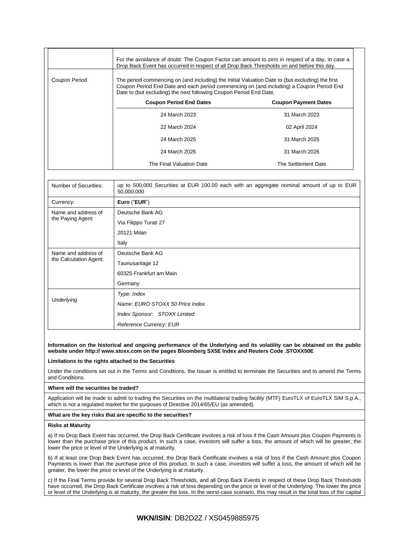|               | For the avoidance of doubt: The Coupon Factor can amount to zero in respect of a day, in case a<br>Drop Back Event has occurred in respect of all Drop Back Thresholds on and before this day.                                                                     |                             |  |
|---------------|--------------------------------------------------------------------------------------------------------------------------------------------------------------------------------------------------------------------------------------------------------------------|-----------------------------|--|
| Coupon Period | The period commencing on (and including) the Initial Valuation Date to (but excluding) the first<br>Coupon Period End Date and each period commencing on (and including) a Coupon Period End<br>Date to (but excluding) the next following Coupon Period End Date. |                             |  |
|               | <b>Coupon Period End Dates</b>                                                                                                                                                                                                                                     | <b>Coupon Payment Dates</b> |  |
|               | 24 March 2023                                                                                                                                                                                                                                                      | 31 March 2023               |  |
|               | 22 March 2024                                                                                                                                                                                                                                                      | 02 April 2024               |  |
|               | 24 March 2025                                                                                                                                                                                                                                                      | 31 March 2025               |  |
|               | 24 March 2026                                                                                                                                                                                                                                                      | 31 March 2026               |  |
|               | The Final Valuation Date                                                                                                                                                                                                                                           | The Settlement Date         |  |

| Number of Securities:                         | up to 500,000 Securities at EUR 100.00 each with an aggregate nominal amount of up to EUR<br>50,000,000 |  |  |
|-----------------------------------------------|---------------------------------------------------------------------------------------------------------|--|--|
| Currency:                                     | Euro ("EUR")                                                                                            |  |  |
| Name and address of<br>the Paying Agent:      | Deutsche Bank AG                                                                                        |  |  |
|                                               | Via Filippo Turati 27                                                                                   |  |  |
|                                               | 20121 Milan                                                                                             |  |  |
|                                               | Italy                                                                                                   |  |  |
| Name and address of<br>the Calculation Agent: | Deutsche Bank AG                                                                                        |  |  |
|                                               | Taunusanlage 12                                                                                         |  |  |
|                                               | 60325 Frankfurt am Main                                                                                 |  |  |
|                                               | Germany                                                                                                 |  |  |
| Underlying                                    | Type: Index                                                                                             |  |  |
|                                               | Name: EURO STOXX 50 Price Index                                                                         |  |  |
|                                               | Index Sponsor: STOXX Limited                                                                            |  |  |
|                                               | <b>Reference Currency: EUR</b>                                                                          |  |  |

#### **Information on the historical and ongoing performance of the Underlying and its volatility can be obtained on the public website under http:// www.stoxx.com on the pages Bloomberg SX5E Index and Reuters Code .STOXX50E**

### **Limitations to the rights attached to the Securities**

Under the conditions set out in the Terms and Conditions, the Issuer is entitled to terminate the Securities and to amend the Terms and Conditions.

#### **Where will the securities be traded?**

Application will be made to admit to trading the Securities on the multilateral trading facility (MTF) EuroTLX of EuroTLX SIM S.p.A., which is not a regulated market for the purposes of Directive 2014/65/EU (as amended).

#### **What are the key risks that are specific to the securities?**

#### **Risks at Maturity**

a) If no Drop Back Event has occurred, the Drop Back Certificate involves a risk of loss if the Cash Amount plus Coupon Payments is lower than the purchase price of this product. In such a case, investors will suffer a loss, the amount of which will be greater, the lower the price or level of the Underlying is at maturity.

b) If at least one Drop Back Event has occurred, the Drop Back Certificate involves a risk of loss if the Cash Amount plus Coupon Payments is lower than the purchase price of this product. In such a case, investors will suffer a loss, the amount of which will be greater, the lower the price or level of the Underlying is at maturity.

c) If the Final Terms provide for several Drop Back Thresholds, and all Drop Back Events in respect of these Drop Back Thresholds have occurred, the Drop Back Certificate involves a risk of loss depending on the price or level of the Underlying. The lower the price or level of the Underlying is at maturity, the greater the loss. In the worst-case scenario, this may result in the total loss of the capital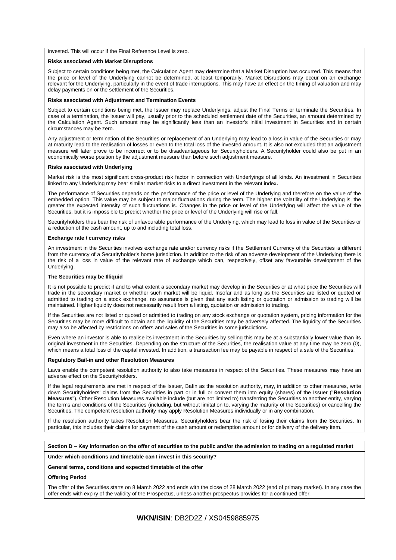invested. This will occur if the Final Reference Level is zero.

#### **Risks associated with Market Disruptions**

Subject to certain conditions being met, the Calculation Agent may determine that a Market Disruption has occurred. This means that the price or level of the Underlying cannot be determined, at least temporarily. Market Disruptions may occur on an exchange relevant for the Underlying, particularly in the event of trade interruptions. This may have an effect on the timing of valuation and may delay payments on or the settlement of the Securities.

#### **Risks associated with Adjustment and Termination Events**

Subject to certain conditions being met, the Issuer may replace Underlyings, adjust the Final Terms or terminate the Securities. In case of a termination, the Issuer will pay, usually prior to the scheduled settlement date of the Securities, an amount determined by the Calculation Agent. Such amount may be significantly less than an investor's initial investment in Securities and in certain circumstances may be zero.

Any adjustment or termination of the Securities or replacement of an Underlying may lead to a loss in value of the Securities or may at maturity lead to the realisation of losses or even to the total loss of the invested amount. It is also not excluded that an adjustment measure will later prove to be incorrect or to be disadvantageous for Securityholders. A Securityholder could also be put in an economically worse position by the adjustment measure than before such adjustment measure.

#### **Risks associated with Underlying**

Market risk is the most significant cross-product risk factor in connection with Underlyings of all kinds. An investment in Securities linked to any Underlying may bear similar market risks to a direct investment in the relevant index**.**

The performance of Securities depends on the performance of the price or level of the Underlying and therefore on the value of the embedded option. This value may be subject to major fluctuations during the term. The higher the volatility of the Underlying is, the greater the expected intensity of such fluctuations is. Changes in the price or level of the Underlying will affect the value of the Securities, but it is impossible to predict whether the price or level of the Underlying will rise or fall.

Securityholders thus bear the risk of unfavourable performance of the Underlying, which may lead to loss in value of the Securities or a reduction of the cash amount, up to and including total loss.

#### **Exchange rate / currency risks**

An investment in the Securities involves exchange rate and/or currency risks if the Settlement Currency of the Securities is different from the currency of a Securityholder's home jurisdiction. In addition to the risk of an adverse development of the Underlying there is the risk of a loss in value of the relevant rate of exchange which can, respectively, offset any favourable development of the Underlying.

#### **The Securities may be Illiquid**

It is not possible to predict if and to what extent a secondary market may develop in the Securities or at what price the Securities will trade in the secondary market or whether such market will be liquid. Insofar and as long as the Securities are listed or quoted or admitted to trading on a stock exchange, no assurance is given that any such listing or quotation or admission to trading will be maintained. Higher liquidity does not necessarily result from a listing, quotation or admission to trading.

If the Securities are not listed or quoted or admitted to trading on any stock exchange or quotation system, pricing information for the Securities may be more difficult to obtain and the liquidity of the Securities may be adversely affected. The liquidity of the Securities may also be affected by restrictions on offers and sales of the Securities in some jurisdictions.

Even where an investor is able to realise its investment in the Securities by selling this may be at a substantially lower value than its original investment in the Securities. Depending on the structure of the Securities, the realisation value at any time may be zero (0), which means a total loss of the capital invested. In addition, a transaction fee may be payable in respect of a sale of the Securities.

#### **Regulatory Bail-in and other Resolution Measures**

Laws enable the competent resolution authority to also take measures in respect of the Securities. These measures may have an adverse effect on the Securityholders.

If the legal requirements are met in respect of the Issuer, Bafin as the resolution authority, may, in addition to other measures, write down Securityholders' claims from the Securities in part or in full or convert them into equity (shares) of the Issuer ("**Resolution Measures**"). Other Resolution Measures available include (but are not limited to) transferring the Securities to another entity, varying the terms and conditions of the Securities (including, but without limitation to, varying the maturity of the Securities) or cancelling the Securities. The competent resolution authority may apply Resolution Measures individually or in any combination.

If the resolution authority takes Resolution Measures, Securityholders bear the risk of losing their claims from the Securities. In particular, this includes their claims for payment of the cash amount or redemption amount or for delivery of the delivery item.

| Section D – Key information on the offer of securities to the public and/or the admission to trading on a regulated market |
|----------------------------------------------------------------------------------------------------------------------------|
|----------------------------------------------------------------------------------------------------------------------------|

**Under which conditions and timetable can I invest in this security?**

#### **General terms, conditions and expected timetable of the offer**

#### **Offering Period**

The offer of the Securities starts on 8 March 2022 and ends with the close of 28 March 2022 (end of primary market). In any case the offer ends with expiry of the validity of the Prospectus, unless another prospectus provides for a continued offer.